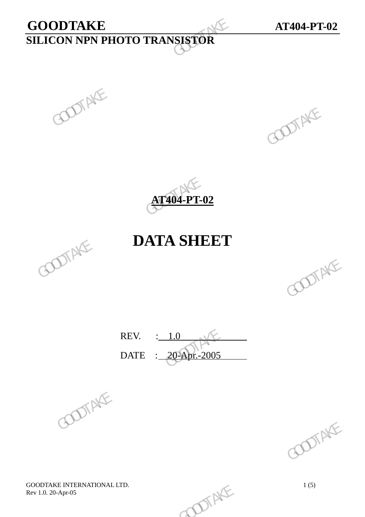# **GOODTAKE AT404-PT-02 SILICON NPN PHOTO TRANSISTOR**  GOODTAKE<br>SILICON NPN PHOTO TRANSISTOR





## **DATA SHEET**



REV. : 1.0 DATE : 20-Apr.-2005 REV.  $\frac{1.0}{20-2005}$  GOOTAKE





GOODTAKE INTERNATIONAL LTD.<br>
Rev 1.0. 20-Apr-05 1(5) Rev 1.0. 20-Apr-05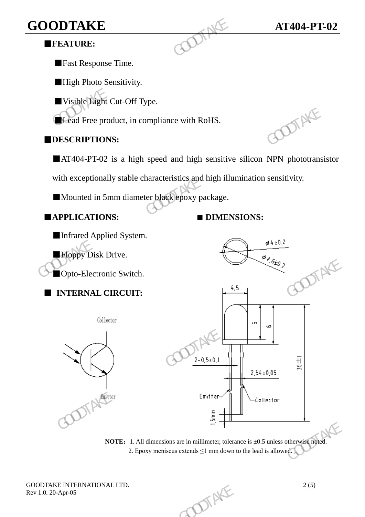## **GOODTAKE AT404-PT-02**

#### ■**FEATURE:**

■Fast Response Time.

■High Photo Sensitivity.

■Visible Light Cut-Off Type.

■Lead Free product, in compliance with RoHS.

#### ■**DESCRIPTIONS:**

■AT404-PT-02 is a high speed and high sensitive silicon NPN phototransistor

with exceptionally stable characteristics and high illumination sensitivity. GOODTAKE<br>
FEATURE:<br>
Fast Response Time.<br>
High Photo Sensitivity.<br>
Usible Light Cut-Off Type.<br>
Lead Free product, in compliance with RoHS.<br>
DESCRIPTIONS:<br>
AT404-PT-02 is a high speed and high sensitive<br>
with exceptionally s

■Mounted in 5mm diameter black epoxy package.

■**APPLICATIONS: ■ DIMENSIONS:**



**NOTE:** 1. All dimensions are in millimeter, tolerance is  $\pm 0.5$  unless otherwise noted. 2. Epoxy meniscus extends  $\leq 1$  mm down to the lead is allowed.

GOODTAKE INTERNATIONAL LTD.<br>
Rev 1.0. 20-Apr-05<br>
2 (5) Rev 1.0. 20-Apr-05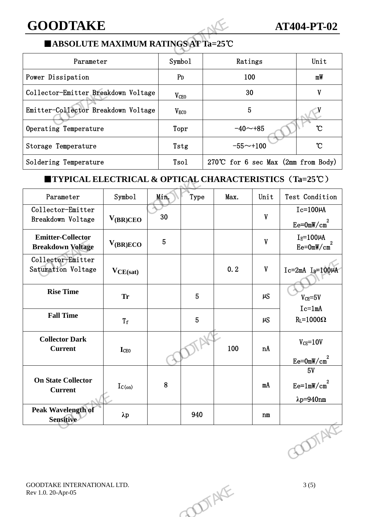### **GOODTAKE AT404-PT-02**

#### ■**ABSOLUTE MAXIMUM RATINGS AT Ta=25**℃

| <b>GOODTAKE</b>                                                                       |                  |                                       | <b>AT404-PT-02</b> |                |  |  |  |  |  |
|---------------------------------------------------------------------------------------|------------------|---------------------------------------|--------------------|----------------|--|--|--|--|--|
| ■ ABSOLUTE MAXIMUM RATINGS AT Ta=25℃                                                  |                  |                                       |                    |                |  |  |  |  |  |
| Parameter                                                                             | Symbol           | Ratings                               |                    | Unit           |  |  |  |  |  |
| Power Dissipation                                                                     | P <sub>D</sub>   | 100                                   | mW                 |                |  |  |  |  |  |
| Collector-Emitter Breakdown Voltage                                                   | V <sub>CEO</sub> | 30                                    | V                  |                |  |  |  |  |  |
| Emitter-Collector Breakdown Voltage                                                   | V <sub>ECO</sub> | 5                                     |                    |                |  |  |  |  |  |
| Operating Temperature                                                                 | Topr             | $-40 - +85$                           | $\mathcal{C}$      |                |  |  |  |  |  |
| Storage Temperature                                                                   | Tstg             | $-55 \sim +100$                       |                    |                |  |  |  |  |  |
| Soldering Temperature                                                                 | Tsol             | 270°C for 6 sec Max $(2mm from Body)$ |                    |                |  |  |  |  |  |
| <b>TYPICAL ELECTRICAL &amp; OPTICAL CHARACTERISTICS <math>(Ta=25^{\circ}C)</math></b> |                  |                                       |                    |                |  |  |  |  |  |
| Symbol<br>Parameter                                                                   | Min.<br>Type     | Max.                                  | Unit               | Test Condition |  |  |  |  |  |

#### ■**TYPICAL ELECTRICAL & OPTICAL CHARACTERISTICS**(**Ta=25**℃)

| Emitter-Collector Breakdown Voltage                               |               |                | $V_{ECO}$      |              | $5\phantom{.0}$           |                                            |
|-------------------------------------------------------------------|---------------|----------------|----------------|--------------|---------------------------|--------------------------------------------|
| Operating Temperature                                             |               |                | Topr           | $-40 - +85$  |                           | $\mathcal{C}$                              |
| Storage Temperature                                               |               |                | Tstg           | $-55 - +100$ |                           | $\mathcal{C}$                              |
| Soldering Temperature                                             |               |                | Tsol           |              |                           | 270°C for 6 sec Max (2mm from Body)        |
| <b>TYPICAL ELECTRICAL &amp; OPTICAL CHARACTERISTICS (Ta=25°C)</b> |               |                |                |              |                           |                                            |
| Parameter                                                         | Symbol        | Min.           | Type           | Max.         | Unit                      | Test Condition                             |
| Collector-Emitter<br>Breakdown Voltage                            | $V_{(BR)CEO}$ | 30             |                |              | $\boldsymbol{\mathrm{V}}$ | $Ic=100\mu A$<br>$Ee = 0mW/cm2$            |
| <b>Emitter-Collector</b><br><b>Breakdown Voltage</b>              | $V_{(BR)ECO}$ | 5 <sub>5</sub> |                |              | $\mathbf V$               | $I_E = 100 \mu A$<br>$Ee = 0mW/cm2$        |
| Collector-Emitter<br>Saturation Voltage                           | $V_{CE(sat)}$ |                |                | 0.2          | $\boldsymbol{\mathrm{V}}$ | $Ic=2mA$ $I_B=100\mu A$                    |
| <b>Rise Time</b>                                                  | <b>Tr</b>     |                | $\overline{5}$ |              | $\mu$ S                   | $V_{CE} = 5V$                              |
| <b>Fall Time</b>                                                  | $T_{\tt f}$   |                | $\overline{5}$ |              | $\mu S$                   | $Ic=1mA$<br>$R_L = 1000\Omega$             |
| <b>Collector Dark</b><br><b>Current</b>                           | <b>I</b> CEO  |                |                | 100          | nA                        | $V_{CE} = 10V$<br>$Ee = 0mW/cm2$           |
| <b>On State Collector</b><br><b>Current</b>                       | $I_{C(on)}$   | 8              |                |              | mA                        | 5V<br>$Ee=1mW/cm2$<br>$\lambda p = 940$ nm |
| Peak Wavelength of<br>Sensitive                                   | $\lambda p$   |                | 940            |              | n m                       |                                            |
|                                                                   |               |                |                |              |                           | <b>DOTAKE</b>                              |
| GOODTAKE INTERNATIONAL LTD.<br>Rev 1.0. 20-Apr-05                 |               |                |                | DIENTE       |                           | 3(5)                                       |
|                                                                   |               |                |                |              |                           |                                            |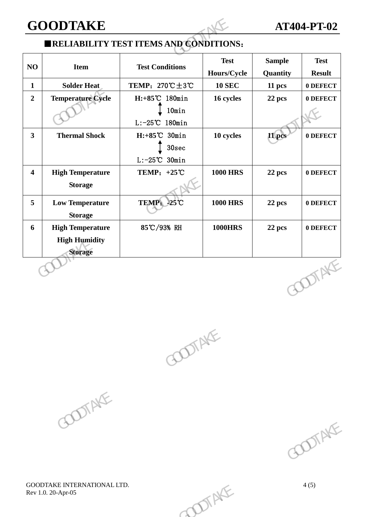#### **GOODTAKE AT404-PT-02**

#### ■**RELIABILITY TEST ITEMS AND CONDITIONS**:

|                         | <b>GOODTAKE</b>                                                   | <b>ERELIABILITY TEST ITEMS AND CONDITIONS:</b>                     |                            |                           | <b>AT404-PT-02</b>           |
|-------------------------|-------------------------------------------------------------------|--------------------------------------------------------------------|----------------------------|---------------------------|------------------------------|
| NO                      | <b>Item</b>                                                       | <b>Test Conditions</b>                                             | <b>Test</b><br>Hours/Cycle | <b>Sample</b><br>Quantity | <b>Test</b><br><b>Result</b> |
| $\mathbf{1}$            | <b>Solder Heat</b>                                                | TEMP: $270^{\circ}\text{C} \pm 3^{\circ}\text{C}$                  | <b>10 SEC</b>              | 11 pcs                    | 0 DEFECT                     |
| $\overline{2}$          | <b>Temperature Cycle</b>                                          | H:+85°C 180min<br>10min<br>$L: -25^{\circ}C$ 180min                | 16 cycles                  | 22 pcs                    | 0 DEFECT                     |
| $\overline{\mathbf{3}}$ | <b>Thermal Shock</b>                                              | $H: +85^{\circ}C$ 30min<br>30sec<br>$L: -25^{\circ}\text{C}$ 30min | 10 cycles                  | 11 pcs                    | 0 DEFECT                     |
| $\overline{\mathbf{4}}$ | <b>High Temperature</b><br><b>Storage</b>                         | TEMP: $+25^{\circ}\text{C}$                                        | <b>1000 HRS</b>            | 22 pcs                    | 0 DEFECT                     |
| 5                       | <b>Low Temperature</b><br><b>Storage</b>                          | TEMP: -25°C                                                        | <b>1000 HRS</b>            | 22 pcs                    | 0 DEFECT                     |
| 6                       | <b>High Temperature</b><br><b>High Humidity</b><br><b>Storage</b> | 85℃/93% RH                                                         | <b>1000HRS</b>             | 22 pcs                    | 0 DEFECT                     |
|                         |                                                                   |                                                                    |                            |                           | <b>DOTAKE</b>                |





GOODTAKE INTERNATIONAL LTD. 4 (5) Rev 1.0. 20-Apr-05